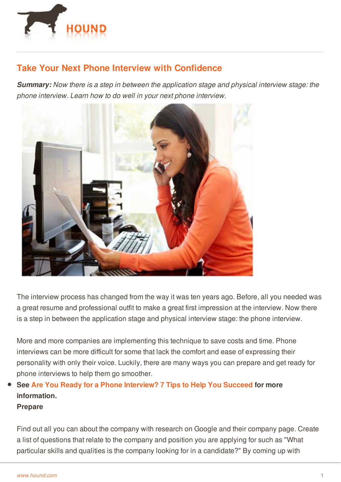

# **Take Your Next Phone Interview with Confidence**

*Summary: Now there is a step in between the application stage and physical interview stage: the phone interview. Learn how to do well in your next phone interview.*



The interview process has changed from the way it was ten years ago. Before, all you needed was a great resume and professional outfit to make a great first impression at the interview. Now there is a step in between the application stage and physical interview stage: the phone interview.

More and more companies are implementing this technique to save costs and time. Phone interviews can be more difficult for some that lack the comfort and ease of expressing their personality with only their voice. Luckily, there are many ways you can prepare and get ready for phone interviews to help them go smoother.

# **See Are You Ready for a Phone [Interview?](http://www.hound.com/article/900019769/Are-You-Ready-for-a-Phone-Interview-7-Tips-to-Help-You-Succeed/) 7 Tips to Help You Succeed for more information.**

## **Prepare**

[Find](http://www.hound.com/) out all you can about the company with research on Google and their company page. Create a list of questions that relate to the company and position you are applying for such as "What particular skills and qualities is the company looking for in a candidate?" By coming up with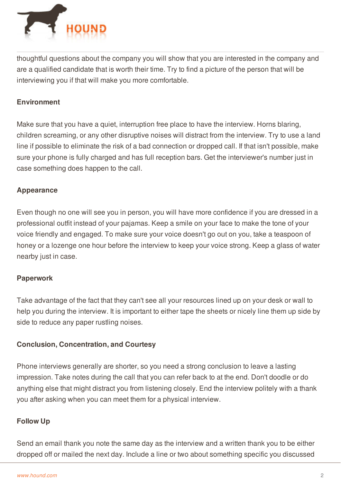

thoughtful questions about the company you will show that you are interested in the company and are a qualified candidate that is worth their time. Try to find a picture of the person that will be interviewing you if that will make you more comfortable.

# **Environment**

Make sure that you have a quiet, interruption free place to have the interview. Horns blaring, children screaming, or any other disruptive noises will distract from the interview. Try to use a land line if possible to eliminate the risk of a bad connection or dropped call. If that isn't possible, make sure your phone is fully charged and has full reception bars. Get the interviewer's number just in case something does happen to the call.

# **Appearance**

Even though no one will see you in person, you will have more confidence if you are dressed in a professional outfit instead of your pajamas. Keep a smile on your face to make the tone of your voice friendly and engaged. To make sure your voice doesn't go out on you, take a teaspoon of honey or a lozenge one hour before the interview to keep your voice strong. Keep a glass of water nearby just in case.

## **Paperwork**

Take advantage of the fact that they can't see all your resources lined up on your desk or wall to help you during the interview. It is important to either tape the sheets or nicely line them up side by side to reduce any paper rustling noises.

## **Conclusion, Concentration, and Courtesy**

Phone interviews generally are shorter, so you need a strong conclusion to leave a lasting impression. Take notes during the call that you can refer back to at the end. Don't doodle or do anything else that might distract you from listening closely. End the interview politely with a thank you after asking when you can meet them for a physical interview.

## **[Follow](http://www.hound.com/) Up**

Send an email thank you note the same day as the interview and a written thank you to be either dropped off or mailed the next day. Include a line or two about something specific you discussed